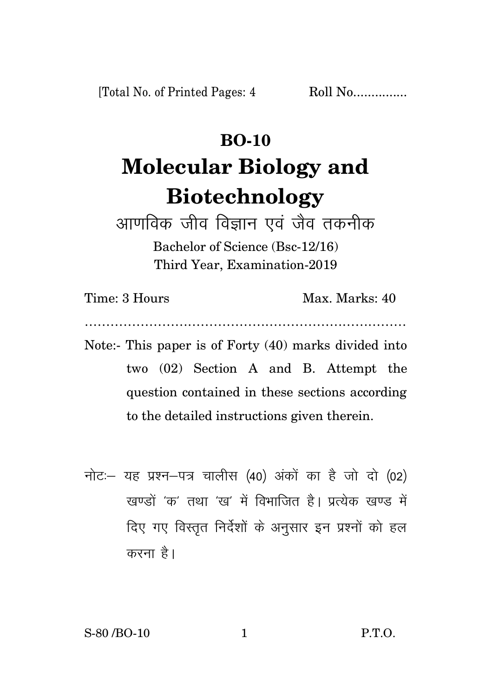[Total No. of Printed Pages: 4]

 $Roll No$ 

## **BO-10 Molecular Biology and Biotechnology**

आणविक जीव विज्ञान एवं जैव तकनीक Bachelor of Science (Bsc-12/16) Third Year, Examination-2019

Time: 3 Hours Max. Marks: 40

- Note:- This paper is of Forty  $(40)$  marks divided into two (02) Section A and B. Attempt the question contained in these sections according to the detailed instructions given therein.
- नोट: यह प्रश्न-पत्र चालीस (40) अंकों का है जो दो (02) रवण्डों 'क' तथा 'रव' में विभाजित है। प्रत्येक रवण्ड में दिए गए विस्तृत निर्देशों के अनुसार इन प्रश्नों को हल करना है।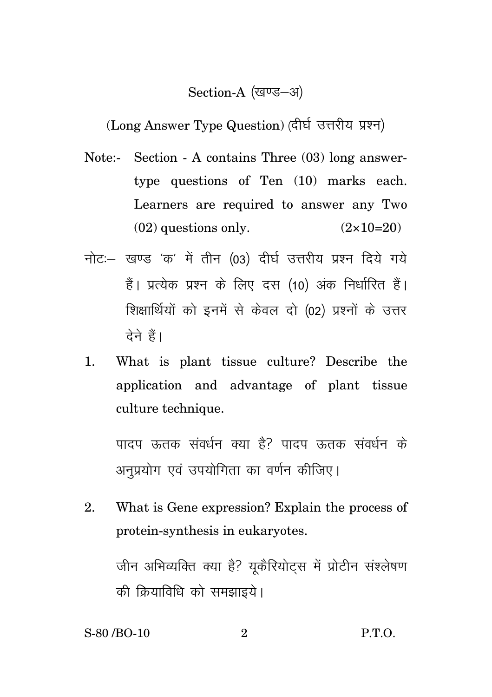## Section-A (खण्ड-अ)

(Long Answer Type Question) (दीर्घ उत्तरीय प्रश्न)

- Note:- Section A contains Three (03) long answertype questions of Ten (10) marks each. Learners are required to answer any Two  $(02)$  questions only.  $(2 \times 10=20)$
- नोट: खण्ड 'क' में तीन (03) दीर्घ उत्तरीय प्रश्न दिये गये हैं। प्रत्येक प्रश्न के लिए दस (10) अंक निर्धारित हैं। शिक्षार्थियों को इनमें से केवल दो (02) प्रश्नों के उत्तर देने हैं।
- 1. What is plant tissue culture? Describe the application and advantage of plant tissue culture technique.

पादप ऊतक संवर्धन क्या है? पादप ऊतक संवर्धन के अनप्रयोग एवं उपयोगिता का वर्णन कीजिए।

2. What is Gene expression? Explain the process of protein-synthesis in eukaryotes.

जीन अभिव्यक्ति क्या है? युकैरियोटस में प्रोटीन संश्लेषण की क्रियाविधि को समझाइये।

S-80 /BO-10 2 P.T.O.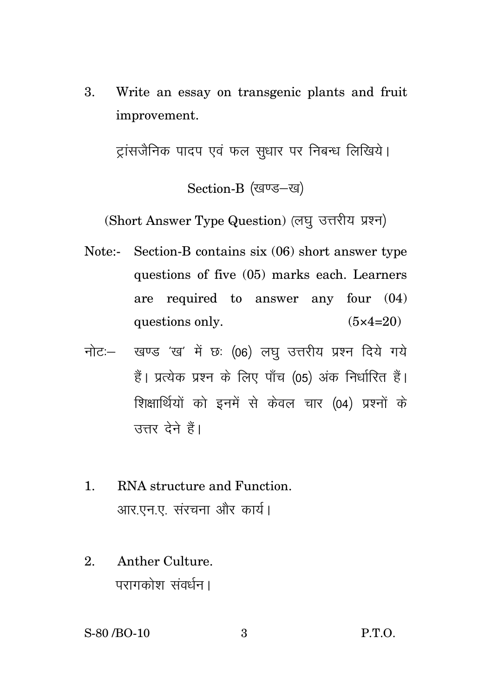3. Write an essay on transgenic plants and fruit improvement.

टांसजैनिक पादप एवं फल सधार पर निबन्ध लिखिये।

Section-B (खण्ड-ख)

(Short Answer Type Question) (लघु उत्तरीय प्रश्न)

Note:- Section-B contains six (06) short answer type questions of five (05) marks each. Learners are required to answer any four (04) questions only.  $(5 \times 4=20)$ 

- नोट: खण्ड 'ख' में छ: (06) लघ उत्तरीय प्रश्न दिये गये हैं। प्रत्येक प्रश्न के लिए पाँच (05) अंक निर्धारित हैं। शिक्षार्थियों को इनमें से केवल चार (04) प्रश्नों के त्तर देने हैं।
- 1. RNA structure and Function. आर.एन.ए. संरचना और कार्य।
- 2. Anther Culture. परागकोश संवर्धन ।

S-80 /BO-10 3 P.T.O.